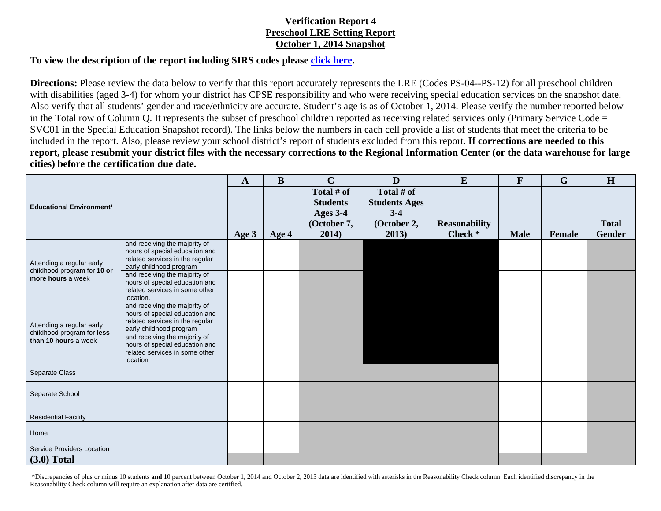## **Verification Report 4 Preschool LRE Setting Report October 1, 2014 Snapshot**

## **To view the description of the report including SIRS codes please click here.**

**Directions:** Please review the data below to verify that this report accurately represents the LRE (Codes PS-04--PS-12) for all preschool children with disabilities (aged 3-4) for whom your district has CPSE responsibility and who were receiving special education services on the snapshot date. Also verify that all students' gender and race/ethnicity are accurate. Student's age is as of October 1, 2014. Please verify the number reported below in the Total row of Column Q. It represents the subset of preschool children reported as receiving related services only (Primary Service Code = SVC01 in the Special Education Snapshot record). The links below the numbers in each cell provide a list of students that meet the criteria to be included in the report. Also, please review your school district's report of students excluded from this report. **If corrections are needed to this report, please resubmit your district files with the necessary corrections to the Regional Information Center (or the data warehouse for large cities) before the certification due date.** 

| <b>Educational Environment<sup>1</sup></b>                                      |                                                                                                                               | $\mathbf{A}$ | $\bf{B}$ | $\mathbf C$                                              | D                                                          | E                    | $\mathbf{F}$ | $\mathbf G$ | H             |
|---------------------------------------------------------------------------------|-------------------------------------------------------------------------------------------------------------------------------|--------------|----------|----------------------------------------------------------|------------------------------------------------------------|----------------------|--------------|-------------|---------------|
|                                                                                 |                                                                                                                               |              |          | Total # of<br><b>Students</b><br>Ages 3-4<br>(October 7, | Total # of<br><b>Students Ages</b><br>$3-4$<br>(October 2, | <b>Reasonability</b> |              |             | <b>Total</b>  |
|                                                                                 |                                                                                                                               | Age 3        | Age $4$  | 2014)                                                    | 2013)                                                      | Check <sup>*</sup>   | <b>Male</b>  | Female      | <b>Gender</b> |
| Attending a regular early<br>childhood program for 10 or<br>more hours a week   | and receiving the majority of<br>hours of special education and<br>related services in the regular<br>early childhood program |              |          |                                                          |                                                            |                      |              |             |               |
|                                                                                 | and receiving the majority of<br>hours of special education and<br>related services in some other<br>location.                |              |          |                                                          |                                                            |                      |              |             |               |
| Attending a regular early<br>childhood program for less<br>than 10 hours a week | and receiving the majority of<br>hours of special education and<br>related services in the regular<br>early childhood program |              |          |                                                          |                                                            |                      |              |             |               |
|                                                                                 | and receiving the majority of<br>hours of special education and<br>related services in some other<br>location                 |              |          |                                                          |                                                            |                      |              |             |               |
| Separate Class                                                                  |                                                                                                                               |              |          |                                                          |                                                            |                      |              |             |               |
| Separate School                                                                 |                                                                                                                               |              |          |                                                          |                                                            |                      |              |             |               |
| <b>Residential Facility</b>                                                     |                                                                                                                               |              |          |                                                          |                                                            |                      |              |             |               |
| Home                                                                            |                                                                                                                               |              |          |                                                          |                                                            |                      |              |             |               |
| <b>Service Providers Location</b>                                               |                                                                                                                               |              |          |                                                          |                                                            |                      |              |             |               |
| $(3.0)$ Total                                                                   |                                                                                                                               |              |          |                                                          |                                                            |                      |              |             |               |

 \*Discrepancies of plus or minus 10 students **and** 10 percent between October 1, 2014 and October 2, 2013 data are identified with asterisks in the Reasonability Check column. Each identified discrepancy in the Reasonability Check column will require an explanation after data are certified.